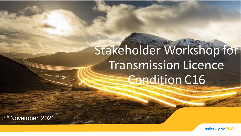# Stakeholder Workshop for Transmission Licence Condition C16

8 th November 2021

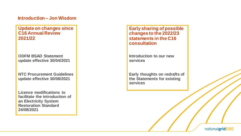#### **Introduction – Jon Wisdom**

**Update on changes since C16 Annual Review 2021/22**

**ODFM BSAD Statement update effective 30/04/2021**

**NTC Procurement Guidelines update effective 30/08/2021**

**Licence modifications to facilitate the introduction of an Electricity System Restoration Standard 24/08/2021**

**Early sharing of possible changes to the 2022/23 statements in the C16 consultation** 

**Introduction to our new services**

**Early thoughts on redrafts of the Statements for existing services**

nationalgridESO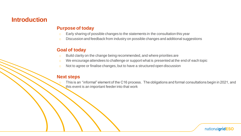### **Introduction**

#### **Purpose of today**

- o Early sharing of possible changes to the statements in the consultation this year
- o Discussion and feedback from industry on possible changes and additional suggestions

#### **Goal of today**

- o Build clarity on the change being recommended, and where priorities are
- o We encourage attendees to challenge or support what is presented at the end of each topic
- o Not to agree or finalise changes, but to have a structured open discussion

#### **Next steps**

This is an "informal" element of the C16 process. The obligations and formal consultations begin in 2021, and this event is an important feeder into that work

nationalgridESO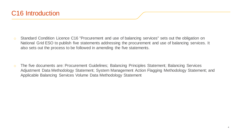- o Standard Condition Licence C16 "Procurement and use of balancing services" sets out the obligation on National Grid ESO to publish five statements addressing the procurement and use of balancing services. It also sets out the process to be followed in amending the five statements.
- o The five documents are: Procurement Guidelines; Balancing Principles Statement; Balancing Services Adjustment Data Methodology Statement; System Management Action Flagging Methodology Statement; and Applicable Balancing Services Volume Data Methodology Statement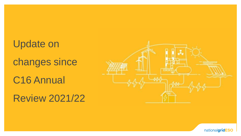Update on changes since C16 Annual Review 2021/22



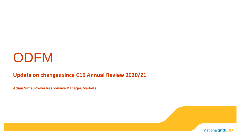# **ODFM**

### **Update on changes since C16 Annual Review 2020/21**

**Adam Sims, Power Responsive Manager, Markets** 

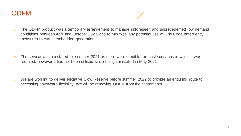

- o The ODFM product was a temporary arrangement to manage unforeseen and unprecedented low demand conditions between April and October 2020, and to minimise any potential use of Grid Code emergency measures to curtail embedded generation
- $\circ$  The service was reinstated for summer 2021 as there were credible forecast scenarios in which it was required, however it has not been utilised since being reinstated in May 2021
- o We are working to deliver Negative Slow Reserve before summer 2022 to provide an enduring route to accessing downward flexibility. We will be removing ODFM from the Statements.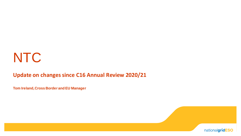# **NTC**

### **Update on changes since C16 Annual Review 2020/21**

**Tom Ireland, Cross Border and EU Manager**

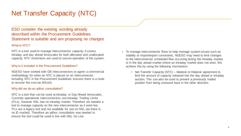### Net Transfer Capacity (NTC)

#### ESO consider the existing wording already described within the Procurement Guidelines Statement is suitable and are proposing no changes

#### What is NTC?

NTC is a tool used to manage interconnector capacity; it covers intraday and day ahead timescales for both allocated and unallocated capacity. NTC restrictions are used to secure operation of the system.

#### Why is it included in the Procurement Guidelines?

NGESO have worked with GB interconnectors to agree a commercial methodology for when an NTC is placed on an interconnector. Including NTC in the Procurement Guidelines ensures there is a route to recover the cost via BSUoS.

#### Why did we do an adhoc consultation?

NTC is a tool that can be used at Intraday or Day Ahead timescales. Currently operational interconnectors use Intraday Trading Limits (ITLs), however NSL has no intraday market. Therefore we needed a tool to manage capacity on the new interconnector as it went live. ITLs are a legacy tool and not available for use on NSL (as there is no ID market). Therefore an adhoc consultation was needed to ensure the tool could be used in line with NSL Go Live.

- To manage interconnector flows to help manage system issues such as stability or import/export constraints, NGESO may need to limit changes to the interconnector scheduled flow occurring during the intraday market, or in the day ahead market where an intraday market does not exist. We achieve this by using the following mechanism:
	- Net Transfer Capacity (NTC) bilateral or trilateral agreement to limit the amount of capacity released into the day ahead or intraday auction. This can also be used to prevent a previously traded position from being unwound back in the other direction.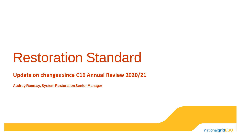# Restoration Standard

**Update on changes since C16 Annual Review 2020/21**

**Audrey Ramsay, System Restoration Senior Manager**

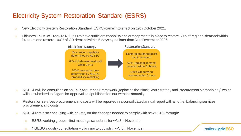### Electricity System Restoration Standard (ESRS)

- o New Electricity System Restoration Standard (ESRS) came into effect on 19th October 2021.
- $\circ$  This new ESRS will require NGESO to have sufficient capability and arrangements in place to restore 60% of regional demand within 24 hours and restore 100% of GB demand within 5 days by no later than 31st December 2026.



- o NGESO will be consulting on an ESR Assurance Framework (replacing the Black Start Strategy and Procurement Methodology) which will be submitted to Ofgem for approval and published on our website annually.
- o Restoration services procurement and costs will be reported in a consolidated annual report with all other balancing services procurement and costs.
- o NGESO are also consulting with industry on the changes needed to comply with new ESRS through:
	- o ESRS working groups first meetings scheduled for w/c 8th November
	- o NGESO industry consultation planning to publish in w/c 8th November

nationalgridESO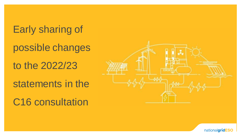Early sharing of

possible changes

to the 2022/23

statements in the

C16 consultation



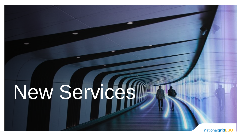# New Services

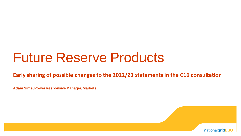# Future Reserve Products

**Early sharing of possible changes to the 2022/23 statements in the C16 consultation** 

**Adam Sims, Power Responsive Manager, Markets**

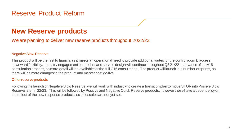### **New Reserve products**

We are planning to deliver new reserve products throughout 2022/23

#### Negative Slow Reserve

This product will be the first to launch, as it meets an operational need to provide additional routes for the control room to access downward flexibility. Industry engagement on product and service design will continue throughout Q3 21/22 in advance of the A18 consultation process, so more detail will be available for the full C16 consultation. The product will launch in a number ofsprints, so there will be more changes to the product and market post go-live.

#### Other reserve products

Following the launch of Negative Slow Reserve, we will work with industry to create a transition plan to move STOR into Positive Slow Reserve later in 22/23. This will be followed by Positive and Negative Quick Reserve products, however these have a dependency on the rollout of the new response products, so timescales are not yet set.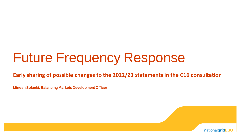# Future Frequency Response

**Early sharing of possible changes to the 2022/23 statements in the C16 consultation** 

**Minesh Solanki, Balancing Markets Development Officer**

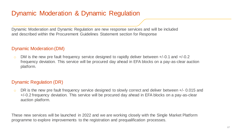### Dynamic Moderation & Dynamic Regulation

Dynamic Moderation and Dynamic Regulation are new response services and will be included and described within the Procurement Guidelines Statement section for Response

#### Dynamic Moderation (DM)

 $\circ$  DM is the new pre fault frequency service designed to rapidly deliver between  $+/-0.1$  and  $+/-0.2$ frequency deviation. This service will be procured day ahead in EFA blocks on a pay-as-clear auction platform.

#### Dynamic Regulation (DR)

DR is the new pre fault frequency service designed to slowly correct and deliver between +/- 0.015 and +/-0.2 frequency deviation. This service will be procured day ahead in EFA blocks on a pay-as-clear auction platform.

These new services will be launched in 2022 and we are working closely with the Single Market Platform programme to explore improvements to the registration and prequalification processes.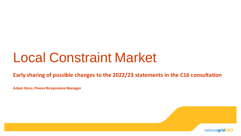# Local Constraint Market

**Early sharing of possible changes to the 2022/23 statements in the C16 consultation** 

**Adam Sims, Power Responsive Manager**

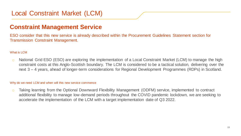### Local Constraint Market (LCM)

### **Constraint Management Service**

ESO consider that this new service is already described within the Procurement Guidelines Statement section for Transmission Constraint Management.

#### What is LCM

o National Grid ESO (ESO) are exploring the implementation of a Local Constraint Market (LCM) to manage the high constraint costs at this Anglo-Scottish boundary. The LCM is considered to be a tactical solution, delivering over the next 3 – 4 years, ahead of longer-term considerations for Regional Development Programmes (RDPs) in Scotland.

#### Why do we need LCM and when will this new service commence

o Taking learning from the Optional Downward Flexibility Management (ODFM) service, implemented to contract additional flexibility to manage low-demand periods throughout the COVID pandemic lockdown, we are seeking to accelerate the implementation of the LCM with a target implementation date of Q3 2022.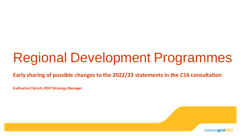# Regional Development Programmes

**Early sharing of possible changes to the 2022/23 statements in the C16 consultation** 

**Katharine Clench, RDP Strategy Manager**

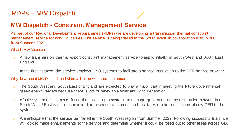### RDPs – MW Dispatch

### **MW Dispatch - Constraint Management Service**

As part of our Regional Development Programmes (RDPs) we are developing a transmission thermal constraint management service for non-BM parties. The service is being trialled in the South West, in collaboration with WPD, from Summer 2022.

#### What is MW Dispatch

- o A new transmission thermal export constraint management service to apply, initially, in South West and South East England.
- $\circ$  In the first instance, the service employs DNO systems to facilitate a service instruction to the DER service provider.

#### Why do we need MW Dispatch and when will this new service commence

- o The South West and South East of England are expected to play a major part in meeting the future governmental green energy targets because there is lots of renewable solar and wind generation.
- o Whole system assessments found that investing in systems to manage generation on the distribution network in the South West / East is more economic than network investment, and facilitates quicker connection of new DER to the system
- o We anticipate that the service be trialled in the South West region from Summer 2022. Following successful trials, we will look to make enhancements to the service and determine whether it could be rolled out to other areas across GB.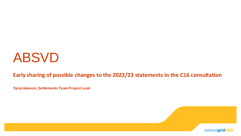# ABSVD

### **Early sharing of possible changes to the 2022/23 statements in the C16 consultation**

**Tariq Hakeem, Settlements Team Project Lead**

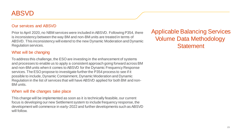### ABSVD

#### Our services and ABSVD

Prior to April 2020, no NBM services were included in ABSVD. Following P354, there is inconsistency between the way BM and non-BM units are treated in terms of ABSVD. This inconsistency will extend to the new Dynamic Moderation and Dynamic Regulation services.

#### What will be changing

To address this challenge, the ESO are investing in the enhancement of systems and processes to enable us to apply a consistent approach going forward across BM and non-BM units when it comes to ABSVD for the Dynamic Frequency Response services. The ESO propose to investigate further the P354 process to see if it possible to include, Dynamic Containment, Dynamic Moderation and Dynamic Regulation in the list of services that will have ABSVD applied for both BM and non-BM units.

#### When will the changes take place

This change will be implemented as soon as it is technically feasible, our current focus is developing our new Settlement system to include frequency response, the development will commence in early-2022 and further developments such as ABSVD will follow.

Applicable Balancing Services Volume Data Methodology **Statement**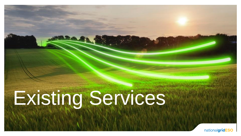# Existing Services

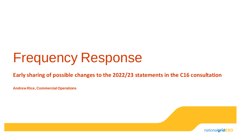# Frequency Response

**Early sharing of possible changes to the 2022/23 statements in the C16 consultation** 

**Andrew Rice, Commercial Operations**

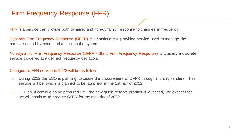### Firm Frequency Response (FFR)

FFR is a service can provide both dynamic and non-dynamic response to changes in frequency:

Dynamic Firm Frequency Response (DFFR) is a continuously provided service used to manage the normal second-by-second changes on the system.

Non-dynamic Firm Frequency Response (SFFR - Static Firm Frequency Response) is typically a discrete service triggered at a defined frequency deviation.

#### Changes to FFR service in 2022 will be as follow**:**

- $\circ$  During 2022 the ESO is planning to cease the procurement of DFFR through monthly tenders. This service will be which is planned to be launched in the 1st half of 2022
- o SFFR will continue to be procured until the new quick reserve product is launched, we expect that we will continue to procure SFFR for the majority of 2022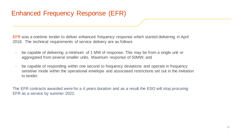EFR was a onetime tender to deliver enhanced frequency response which started delivering in April 2018. The technical requirements of service delivery are as follows

- o be capable of delivering a minimum of 1 MW of response. This may be from a single unit or aggregated from several smaller units. Maximum response of 50MW; and
- o be capable of responding within one second to frequency deviations and operate in frequency sensitive mode within the operational envelope and associated restrictions set out in the invitation to tender.

The EFR contracts awarded were for a 4 years duration and as a result the ESO will stop procuring EFR as a service by summer 2022.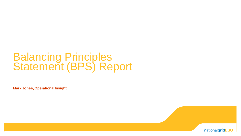### Balancing Principles Statement (BPS) Report

**Mark Jones, Operational Insight**

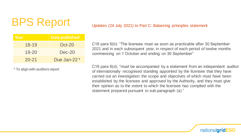# BPS Report

| Year      | <b>Date published</b>   |  |
|-----------|-------------------------|--|
| $18 - 19$ | Oct-20                  |  |
| $19 - 20$ | $Dec-20$                |  |
| $20 - 21$ | Due Jan-22 <sup>*</sup> |  |

\* To align with auditors report

#### Updates (24 July 2021) to Part C: Balancing principles statement

C16 para 6(b): "The licensee must as soon as practicable after 30 September 2021 and in each subsequent year, in respect of each period of twelve months commencing on 1 October and ending on 30 September"

C16 para 6(d): "must be accompanied by a statement from an independent auditor of internationally recognised standing appointed by the licensee that they have carried out an investigation the scope and objectives of which must have been established by the licensee and approved by the Authority, and they must give their opinion as to the extent to which the licensee has complied with the statement prepared pursuant to sub-paragraph (a) "

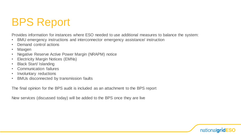### BPS Report

Provides information for instances where ESO needed to use additional measures to balance the system:

- BMU emergency instructions and interconnector emergency assistance/ instruction
- Demand control actions
- Maxgen
- Negative Reserve Active Power Margin (NRAPM) notice
- Electricity Margin Notices (EMNs)
- Black Start/ Islanding
- Communication failures
- Involuntary reductions
- BMUs disconnected by transmission faults

The final opinion for the BPS audit is included as an attachment to the BPS report

New services (discussed today) will be added to the BPS once they are live

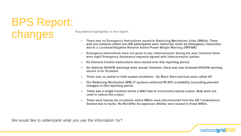BPS Report: changes

Key events highlighted in this report:

- There was no Emergency Instructions issued to Balancing Mechanism Units (BMUs). There  $\bullet$ was one instance where non BM participants were instructed down by Emergency Instruction due to a Localised Negative Reserve Active Power Margin Warning (NRPAM).
- Emergency Instructions were not given to any interconnector during the year, however there were eight Emergency Assistance requests agreed with interconnector parties.
- No Demand Control instructions were issued over this reporting period.
- No National NRAPM warnings were issued. However, there was one localised NRAPM warning ۰ issued in for Scotland.
- There was no partial or total system shutdown. No Black Start services were called off. ۰
- Our Balancing Mechanism (BM) IT systems achieved 99.95% availability (excluding planned  $\bullet$ outages) in this reporting period.
- There was a single instance where a BMU had to involuntary reduce output. Bids were not ۰ used to reduce the output.
- There were twenty-six occasions where BMUs were disconnected from the GB Transmission ۰ System due to faults. No Bid-Offer Acceptances (BOAs) were issued to these BMUs.

We would like to understand what you use the information for?

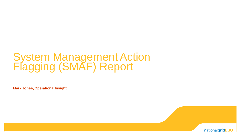### System Management Action Flagging (SMAF) Report

**Mark Jones, Operational Insight**

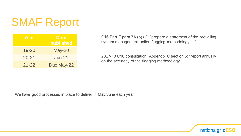### SMAF Report

| Year      | <b>Date</b><br>published |  |
|-----------|--------------------------|--|
| $19 - 20$ | $May-20$                 |  |
| $20 - 21$ | $Jun-21$                 |  |
| $21 - 22$ | Due May-22               |  |

C16 Part E para 7A (b) (ii): "prepare a statement of the prevailing system management action flagging methodology…."

2017-18 C16 consultation. Appendix C section 5: "report annually on the accuracy of the flagging methodology."

We have good processes in place to deliver in May/June each year

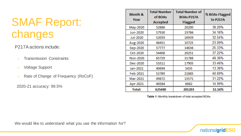### SMAF Report: changes

#### P217A actions include:

- o Transmission Constraints
- o Voltage Support
- o Rate of Change of Frequency (RoCoF)

2020-21 accuracy: 99.5%

| Month &<br>Year | <b>Total Number</b><br>of BOAs<br><b>Accepted</b> | <b>Total Number of</b><br><b>BOAs P217A</b><br><b>Flagged</b> | % BOAs Flagged<br>to P217A |
|-----------------|---------------------------------------------------|---------------------------------------------------------------|----------------------------|
| May-2020        | 52886                                             | 20200                                                         | 38.20%                     |
| Jun-2020        | 57930                                             | 19786                                                         | 34.16%                     |
| <b>Jul-2020</b> | 52059                                             | 16939                                                         | 32.54%                     |
| Aug-2020        | 46451                                             | 10725                                                         | 23.09%                     |
| Sep-2020        | 57777                                             | 14636                                                         | 25.33%                     |
| Oct-2020        | 54408                                             | 20251                                                         | 37.22%                     |
| Nov-2020        | 65729                                             | 31788                                                         | 48.36%                     |
| Dec-2020        | 53511                                             | 17905                                                         | 33.46%                     |
| Jan-2021        | 40694                                             | 5435                                                          | 13.36%                     |
| Feb-2021        | 53789                                             | 21885                                                         | 40.69%                     |
| Mar-2021        | 49872                                             | 15571                                                         | 31.22%                     |
| Apr-2021        | 40584                                             | 6082                                                          | 14.99%                     |
| <b>Total:</b>   | 625690                                            | 201203                                                        | 32.16%                     |

Table 1: Monthly breakdown of total accepted BOAs

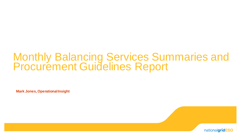### Monthly Balancing Services Summaries and Procurement Guidelines Report

**Mark Jones, Operational Insight**

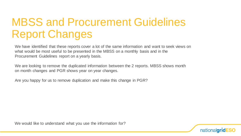### MBSS and Procurement Guidelines Report Changes

We have identified that these reports cover a lot of the same information and want to seek views on what would be most useful to be presented in the MBSS on a monthly basis and in the Procurement Guidelines report on a yearly basis.

We are looking to remove the duplicated information between the 2 reports. MBSS shows month on month changes and PGR shows year on year changes.

Are you happy for us to remove duplication and make this change in PGR?

We would like to understand what you use the information for?

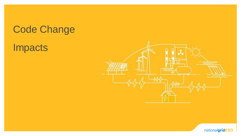### Code Change

### Impacts



nationalgridESO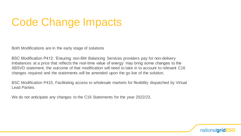### Code Change Impacts

Both Modifications are in the early stage of solutions

BSC Modification P412: 'Ensuring non-BM Balancing Services providers pay for non-delivery imbalances at a price that reflects the real-time value of energy' may bring some changes to the ABSVD statement, the outcome of that modification will need to take in to account to relevant C16 changes required and the statements will be amended upon the go live of the solution.

BSC Modification P415, Facilitating access to wholesale markets for flexibility dispatched by Virtual Lead Parties.

We do not anticipate any changes to the C16 Statements for the year 2022/23.

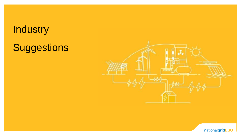### **Industry**

# Suggestions



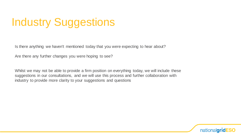# Industry Suggestions

Is there anything we haven't mentioned today that you were expecting to hear about?

Are there any further changes you were hoping to see?

Whilst we may not be able to provide a firm position on everything today, we will include these suggestions in our consultations, and we will use this process and further collaboration with industry to provide more clarity to your suggestions and questions

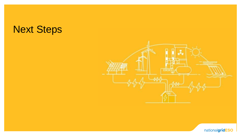### Next Steps